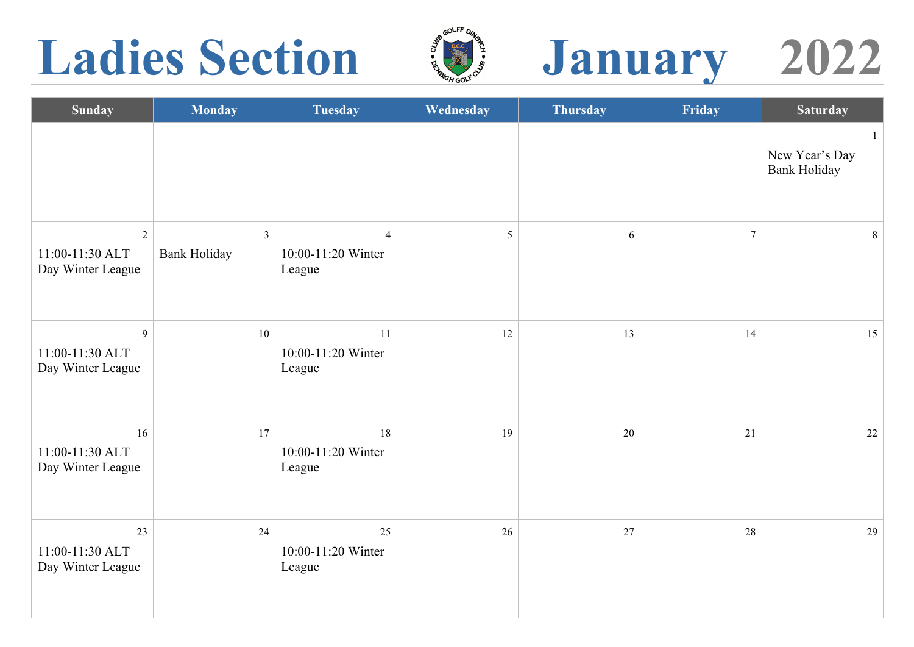### Ladies Section  $\sqrt[3]{2}$  January 2022





| <b>Sunday</b>                              | <b>Monday</b>                         | <b>Tuesday</b>                                 | Wednesday | <b>Thursday</b> | Friday         | <b>Saturday</b>                       |
|--------------------------------------------|---------------------------------------|------------------------------------------------|-----------|-----------------|----------------|---------------------------------------|
|                                            |                                       |                                                |           |                 |                | New Year's Day<br><b>Bank Holiday</b> |
| 2<br>11:00-11:30 ALT<br>Day Winter League  | $\mathfrak{Z}$<br><b>Bank Holiday</b> | $\overline{4}$<br>10:00-11:20 Winter<br>League | 5         | $\sqrt{6}$      | $\overline{7}$ | 8                                     |
| 9<br>11:00-11:30 ALT<br>Day Winter League  | $10\,$                                | 11<br>10:00-11:20 Winter<br>League             | 12        | 13              | 14             | 15                                    |
| 16<br>11:00-11:30 ALT<br>Day Winter League | 17                                    | 18<br>10:00-11:20 Winter<br>League             | 19        | 20              | 21             | 22                                    |
| 23<br>11:00-11:30 ALT<br>Day Winter League | 24                                    | 25<br>10:00-11:20 Winter<br>League             | 26        | 27              | 28             | 29                                    |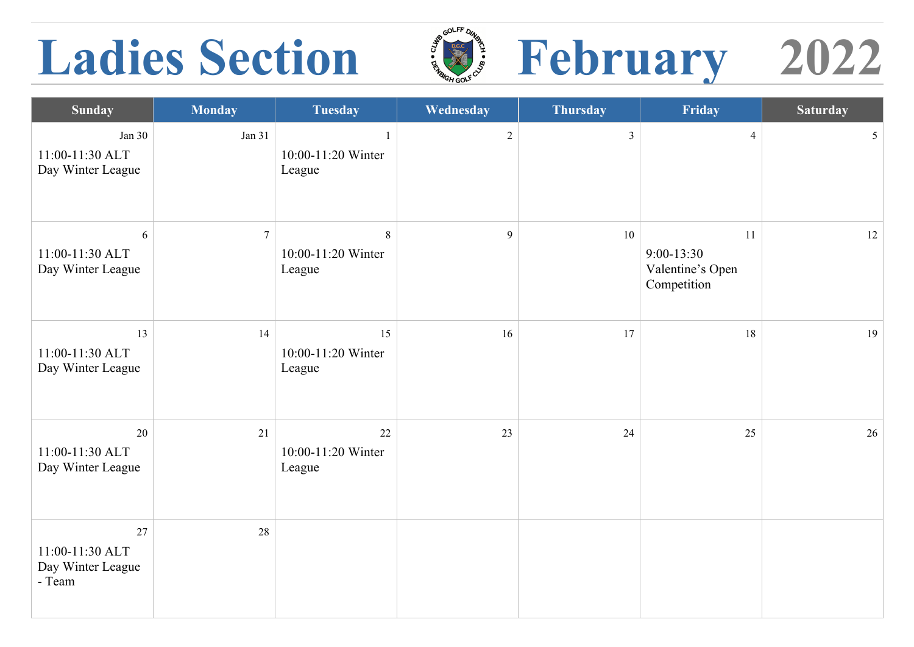### Ladies Section  $\mathbb{Z}$  February 2022





| <b>Sunday</b>                                        | <b>Monday</b>    | <b>Tuesday</b>                               | Wednesday      | <b>Thursday</b> | Friday                                                  | <b>Saturday</b> |
|------------------------------------------------------|------------------|----------------------------------------------|----------------|-----------------|---------------------------------------------------------|-----------------|
| Jan $30$<br>11:00-11:30 ALT<br>Day Winter League     | Jan $31$         | $\mathbf{1}$<br>10:00-11:20 Winter<br>League | $\overline{2}$ | $\overline{3}$  | $\overline{4}$                                          | 5 <sup>5</sup>  |
| 6<br>11:00-11:30 ALT<br>Day Winter League            | $\boldsymbol{7}$ | 8<br>10:00-11:20 Winter<br>League            | 9              | 10              | 11<br>$9:00 - 13:30$<br>Valentine's Open<br>Competition | 12              |
| 13<br>11:00-11:30 ALT<br>Day Winter League           | 14               | 15<br>10:00-11:20 Winter<br>League           | 16             | 17              | 18                                                      | 19              |
| 20<br>11:00-11:30 ALT<br>Day Winter League           | 21               | 22<br>10:00-11:20 Winter<br>League           | 23             | 24              | 25                                                      | 26              |
| 27<br>11:00-11:30 ALT<br>Day Winter League<br>- Team | 28               |                                              |                |                 |                                                         |                 |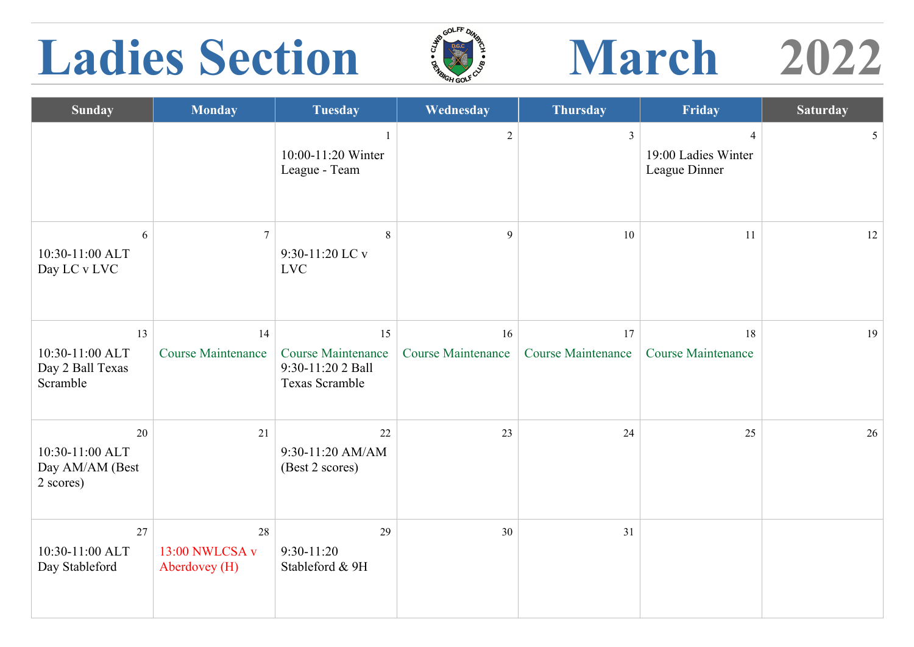## Ladies Section  $\mathbb{Z}$  March 2022



| <b>Sunday</b>                                         | <b>Monday</b>                         | <b>Tuesday</b>                                                         | Wednesday                       | <b>Thursday</b>                 | Friday                                    | <b>Saturday</b> |
|-------------------------------------------------------|---------------------------------------|------------------------------------------------------------------------|---------------------------------|---------------------------------|-------------------------------------------|-----------------|
|                                                       |                                       | 10:00-11:20 Winter<br>League - Team                                    | $\overline{2}$                  | $\mathbf{3}$                    | 4<br>19:00 Ladies Winter<br>League Dinner | $5\overline{)}$ |
| 6<br>10:30-11:00 ALT<br>Day LC v LVC                  | $\overline{7}$                        | 8<br>9:30-11:20 LC v<br><b>LVC</b>                                     | 9                               | 10                              | 11                                        | 12              |
| 13<br>10:30-11:00 ALT<br>Day 2 Ball Texas<br>Scramble | 14<br><b>Course Maintenance</b>       | 15<br><b>Course Maintenance</b><br>9:30-11:20 2 Ball<br>Texas Scramble | 16<br><b>Course Maintenance</b> | 17<br><b>Course Maintenance</b> | 18<br><b>Course Maintenance</b>           | 19              |
| 20<br>10:30-11:00 ALT<br>Day AM/AM (Best<br>2 scores) | 21                                    | 22<br>9:30-11:20 AM/AM<br>(Best 2 scores)                              | 23                              | 24                              | 25                                        | 26              |
| 27<br>10:30-11:00 ALT<br>Day Stableford               | 28<br>13:00 NWLCSA v<br>Aberdovey (H) | 29<br>$9:30-11:20$<br>Stableford & 9H                                  | 30                              | 31                              |                                           |                 |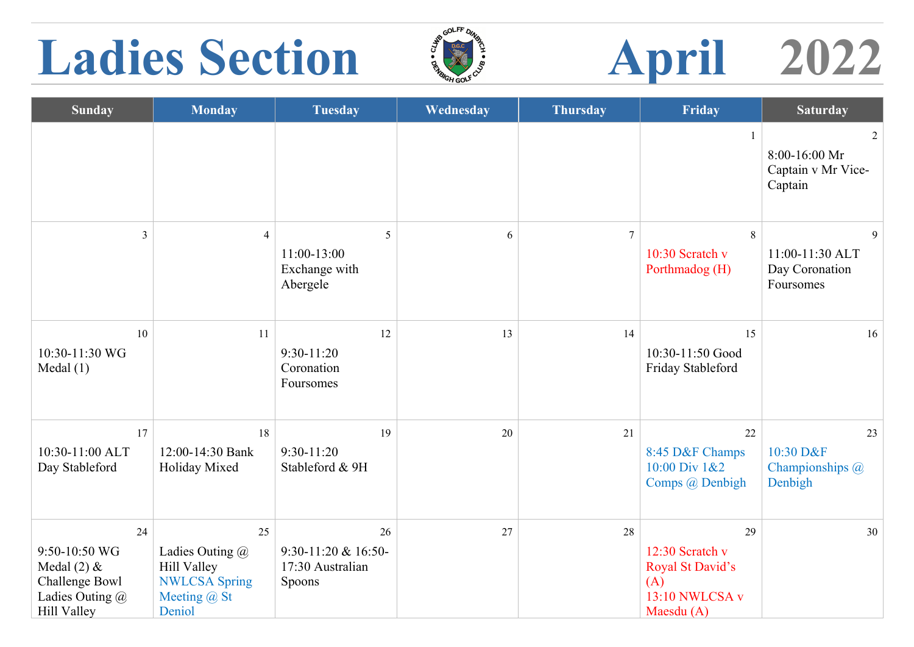# Ladies Section **April** 2022



| <b>Sunday</b>                                                                                   | <b>Monday</b>                                                                                     | <b>Tuesday</b>                                            | Wednesday | <b>Thursday</b> | Friday                                                                             | <b>Saturday</b>                                     |
|-------------------------------------------------------------------------------------------------|---------------------------------------------------------------------------------------------------|-----------------------------------------------------------|-----------|-----------------|------------------------------------------------------------------------------------|-----------------------------------------------------|
|                                                                                                 |                                                                                                   |                                                           |           |                 |                                                                                    | 2<br>8:00-16:00 Mr<br>Captain v Mr Vice-<br>Captain |
| $\overline{3}$                                                                                  | $\overline{4}$                                                                                    | 5<br>11:00-13:00<br>Exchange with<br>Abergele             | 6         | $\overline{7}$  | 8<br>10:30 Scratch $v$<br>Porthmadog (H)                                           | 9<br>11:00-11:30 ALT<br>Day Coronation<br>Foursomes |
| 10<br>10:30-11:30 WG<br>Medal(1)                                                                | 11                                                                                                | 12<br>$9:30-11:20$<br>Coronation<br>Foursomes             | 13        | 14              | 15<br>10:30-11:50 Good<br>Friday Stableford                                        | 16                                                  |
| 17<br>10:30-11:00 ALT<br>Day Stableford                                                         | 18<br>12:00-14:30 Bank<br>Holiday Mixed                                                           | 19<br>$9:30-11:20$<br>Stableford & 9H                     | 20        | 21              | 22<br>8:45 D&F Champs<br>10:00 Div 1&2<br>Comps @ Denbigh                          | 23<br>10:30 D&F<br>Championships @<br>Denbigh       |
| 24<br>9:50-10:50 WG<br>Medal $(2)$ &<br>Challenge Bowl<br>Ladies Outing @<br><b>Hill Valley</b> | 25<br>Ladies Outing @<br><b>Hill Valley</b><br><b>NWLCSA Spring</b><br>Meeting $(a)$ St<br>Deniol | 26<br>$9:30-11:20$ & 16:50-<br>17:30 Australian<br>Spoons | 27        | 28              | 29<br>12:30 Scratch v<br>Royal St David's<br>(A)<br>13:10 NWLCSA v<br>Maesdu $(A)$ | 30                                                  |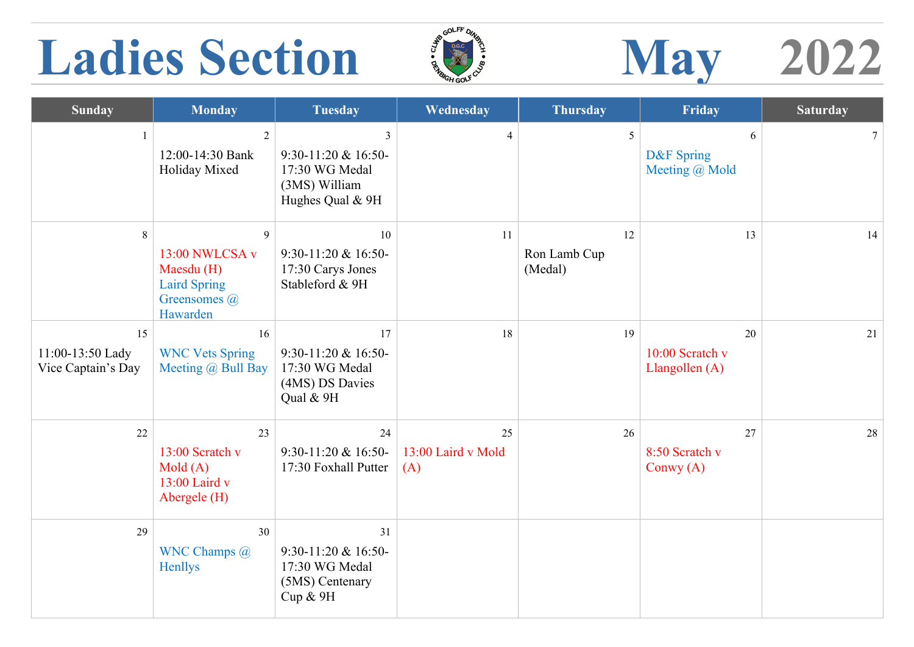## Ladies Section  $\frac{1}{2}$  May 2022



| <b>Sunday</b>                                | <b>Monday</b>                                                                            | <b>Tuesday</b>                                                                                          | Wednesday                       | <b>Thursday</b>               | Friday                                  | <b>Saturday</b> |
|----------------------------------------------|------------------------------------------------------------------------------------------|---------------------------------------------------------------------------------------------------------|---------------------------------|-------------------------------|-----------------------------------------|-----------------|
| $\mathbf{1}$                                 | 2<br>12:00-14:30 Bank<br>Holiday Mixed                                                   | $\overline{\mathbf{3}}$<br>$9:30-11:20$ & 16:50-<br>17:30 WG Medal<br>(3MS) William<br>Hughes Qual & 9H | $\overline{4}$                  | 5                             | 6<br>D&F Spring<br>Meeting @ Mold       | $7\phantom{.0}$ |
| 8                                            | 9<br>13:00 NWLCSA v<br>Maesdu (H)<br><b>Laird Spring</b><br>Greensomes $(a)$<br>Hawarden | 10<br>$9:30-11:20$ & 16:50-<br>17:30 Carys Jones<br>Stableford & 9H                                     | 11                              | 12<br>Ron Lamb Cup<br>(Medal) | 13                                      | 14              |
| 15<br>11:00-13:50 Lady<br>Vice Captain's Day | 16<br><b>WNC Vets Spring</b><br>Meeting $\omega$ Bull Bay                                | 17<br>$9:30-11:20$ & 16:50-<br>17:30 WG Medal<br>(4MS) DS Davies<br>Qual & 9H                           | 18                              | 19                            | 20<br>10:00 Scratch v<br>Llangollen (A) | 21              |
| 22                                           | 23<br>13:00 Scratch v<br>Mold(A)<br>13:00 Laird v<br>Abergele (H)                        | 24<br>$9:30-11:20 \& 16:50-$<br>17:30 Foxhall Putter                                                    | 25<br>13:00 Laird v Mold<br>(A) | 26                            | 27<br>8:50 Scratch v<br>Conwy $(A)$     | 28              |
| 29                                           | 30<br>WNC Champs @<br>Henllys                                                            | 31<br>$9:30-11:20 \& 16:50$<br>17:30 WG Medal<br>(5MS) Centenary<br>Cup & 9H                            |                                 |                               |                                         |                 |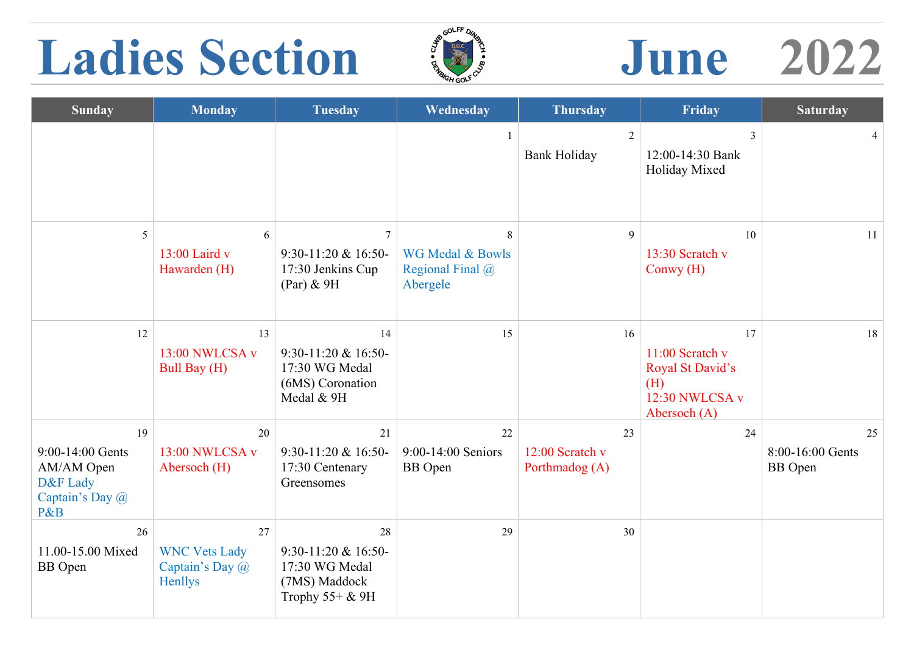### **Ladies Section June 2022**



| <b>Sunday</b>                                                              | <b>Monday</b>                                            | <b>Tuesday</b>                                                                        | Wednesday                                                        | <b>Thursday</b>                         | Friday                                                                             | <b>Saturday</b>                          |
|----------------------------------------------------------------------------|----------------------------------------------------------|---------------------------------------------------------------------------------------|------------------------------------------------------------------|-----------------------------------------|------------------------------------------------------------------------------------|------------------------------------------|
|                                                                            |                                                          |                                                                                       |                                                                  | 2<br><b>Bank Holiday</b>                | $\overline{3}$<br>12:00-14:30 Bank<br>Holiday Mixed                                | $\overline{4}$                           |
| 5                                                                          | 6<br>13:00 Laird v<br>Hawarden (H)                       | $\overline{7}$<br>9:30-11:20 & 16:50-<br>17:30 Jenkins Cup<br>$(Par)$ & 9H            | 8<br><b>WG Medal &amp; Bowls</b><br>Regional Final @<br>Abergele | $\mathfrak{g}$                          | 10<br>13:30 Scratch v<br>Conwy $(H)$                                               | 11                                       |
| 12                                                                         | 13<br>13:00 NWLCSA v<br>Bull Bay (H)                     | 14<br>$9:30-11:20$ & 16:50-<br>17:30 WG Medal<br>(6MS) Coronation<br>Medal & 9H       | 15                                                               | 16                                      | 17<br>11:00 Scratch v<br>Royal St David's<br>(H)<br>12:30 NWLCSA v<br>Abersoch (A) | 18                                       |
| 19<br>9:00-14:00 Gents<br>AM/AM Open<br>D&F Lady<br>Captain's Day @<br>P&B | 20<br>13:00 NWLCSA v<br>Abersoch (H)                     | 21<br>$9:30-11:20$ & 16:50-<br>17:30 Centenary<br>Greensomes                          | 22<br>9:00-14:00 Seniors<br><b>BB</b> Open                       | 23<br>12:00 Scratch v<br>Porthmadog (A) | 24                                                                                 | 25<br>8:00-16:00 Gents<br><b>BB</b> Open |
| 26<br>11.00-15.00 Mixed<br><b>BB</b> Open                                  | 27<br><b>WNC Vets Lady</b><br>Captain's Day @<br>Henllys | 28<br>$9:30-11:20$ & 16:50-<br>17:30 WG Medal<br>(7MS) Maddock<br>Trophy $55+$ & $9H$ | 29                                                               | 30                                      |                                                                                    |                                          |